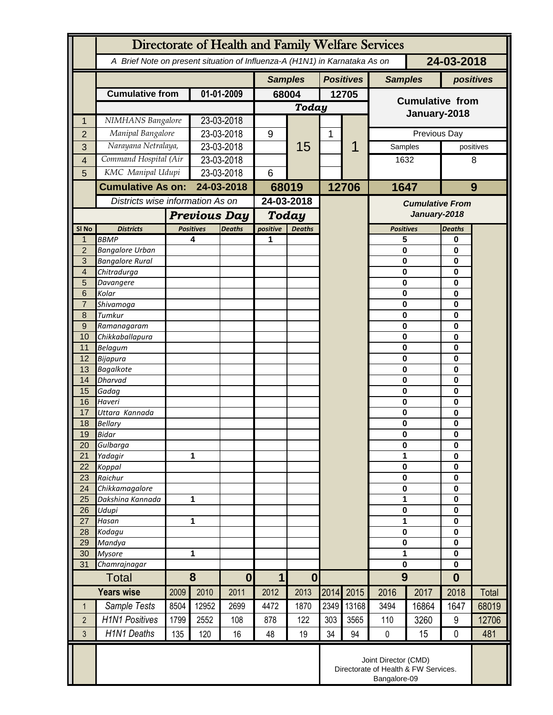|                | Directorate of Health and Family Welfare Services                                        |                     |                                   |                |                         |                  |                |                        |                         |                         |               |       |  |
|----------------|------------------------------------------------------------------------------------------|---------------------|-----------------------------------|----------------|-------------------------|------------------|----------------|------------------------|-------------------------|-------------------------|---------------|-------|--|
|                | 24-03-2018<br>A Brief Note on present situation of Influenza-A (H1N1) in Karnataka As on |                     |                                   |                |                         |                  |                |                        |                         |                         |               |       |  |
|                |                                                                                          |                     |                                   | <b>Samples</b> |                         | <b>Positives</b> | <b>Samples</b> |                        | positives               |                         |               |       |  |
|                | <b>Cumulative from</b>                                                                   | 01-01-2009          |                                   | 68004          |                         | 12705            |                | <b>Cumulative from</b> |                         |                         |               |       |  |
|                |                                                                                          |                     |                                   |                | Today                   |                  |                |                        | January-2018            |                         |               |       |  |
| 1              | NIMHANS Bangalore                                                                        |                     | 23-03-2018                        |                |                         |                  |                |                        |                         |                         |               |       |  |
| $\overline{2}$ | Manipal Bangalore                                                                        |                     | 23-03-2018                        |                | 9                       |                  | 1              |                        | Previous Day            |                         |               |       |  |
| 3              | Narayana Netralaya,                                                                      |                     | 23-03-2018                        |                |                         | 15               |                | 1                      | Samples                 |                         | positives     |       |  |
| $\overline{4}$ | Command Hospital (Air                                                                    |                     | 23-03-2018                        |                |                         |                  |                |                        | 1632                    |                         | 8             |       |  |
| 5              | KMC Manipal Udupi                                                                        |                     | 23-03-2018                        |                | 6                       |                  |                |                        |                         |                         |               |       |  |
|                | <b>Cumulative As on:</b>                                                                 |                     | 24-03-2018                        |                | 68019                   |                  |                | 12706                  | 1647                    |                         | 9             |       |  |
|                | Districts wise information As on                                                         |                     |                                   |                | 24-03-2018              |                  |                |                        | <b>Cumulative From</b>  |                         |               |       |  |
|                |                                                                                          | <b>Previous Day</b> |                                   |                | Today                   |                  |                |                        | January-2018            |                         |               |       |  |
| SI No          | <b>Districts</b>                                                                         |                     | <b>Positives</b><br><b>Deaths</b> |                | positive                | <b>Deaths</b>    |                |                        | <b>Positives</b>        |                         | <b>Deaths</b> |       |  |
| $\mathbf 1$    | <b>BBMP</b>                                                                              |                     | 4                                 |                | 1                       |                  |                |                        | 5                       |                         | 0             |       |  |
| $\overline{2}$ | <b>Bangalore Urban</b>                                                                   |                     |                                   |                |                         |                  |                |                        | $\mathbf 0$             |                         | 0<br>0        |       |  |
| 3<br>4         | <b>Bangalore Rural</b><br>Chitradurga                                                    |                     |                                   |                |                         |                  |                |                        |                         | $\bf{0}$<br>$\mathbf 0$ |               |       |  |
| 5              | Davangere                                                                                |                     |                                   |                |                         |                  |                |                        | $\mathbf 0$             |                         | 0<br>0        |       |  |
| 6              | Kolar                                                                                    |                     |                                   |                |                         |                  |                |                        | $\bf{0}$                |                         | 0             |       |  |
| $\overline{7}$ | Shivamoga                                                                                |                     |                                   |                |                         |                  |                |                        | $\mathbf 0$             |                         | 0<br>0        |       |  |
| 8              | Tumkur                                                                                   |                     |                                   |                |                         |                  |                |                        |                         | $\bf{0}$                |               |       |  |
| 9<br>10        | Ramanagaram<br>Chikkaballapura                                                           |                     |                                   |                |                         |                  |                |                        | $\bf{0}$<br>$\mathbf 0$ |                         | 0<br>0        |       |  |
| 11             | <b>Belagum</b>                                                                           |                     |                                   |                |                         |                  |                |                        | $\bf{0}$                |                         | 0             |       |  |
| 12             | Bijapura                                                                                 |                     |                                   |                |                         |                  |                |                        | $\bf{0}$                |                         | 0             |       |  |
| 13             | <b>Bagalkote</b>                                                                         |                     |                                   |                |                         |                  |                |                        | $\mathbf 0$             |                         | 0             |       |  |
| 14             | <b>Dharvad</b>                                                                           |                     |                                   |                |                         |                  |                |                        | $\mathbf 0$             |                         | 0             |       |  |
| 15<br>16       | Gadag                                                                                    |                     |                                   |                |                         |                  |                |                        | $\mathbf 0$             |                         | 0<br>0        |       |  |
| 17             | Haveri<br>Uttara Kannada                                                                 |                     |                                   |                |                         |                  |                |                        | $\bf{0}$<br>$\mathbf 0$ |                         | 0             |       |  |
| 18             | <b>Bellary</b>                                                                           |                     |                                   |                |                         |                  |                |                        | 0                       |                         | 0             |       |  |
| 19             | Bidar                                                                                    |                     |                                   |                |                         |                  |                |                        | $\bf{0}$                |                         | 0             |       |  |
| 20             | Gulbarga                                                                                 |                     |                                   |                |                         |                  |                |                        | $\pmb{0}$               |                         | 0             |       |  |
| 21             | Yadagir                                                                                  |                     | 1                                 |                |                         |                  |                |                        | 1<br>$\mathbf 0$        |                         | 0             |       |  |
| 22<br>23       | Koppal<br>Raichur                                                                        |                     |                                   |                |                         |                  |                |                        | $\mathbf 0$             |                         | 0<br>0        |       |  |
| 24             | Chikkamagalore                                                                           |                     |                                   |                |                         |                  |                |                        | $\mathbf 0$             |                         | 0             |       |  |
| 25             | Dakshina Kannada                                                                         | 1                   |                                   |                |                         |                  |                |                        | 1                       |                         | 0             |       |  |
| 26             | Udupi                                                                                    |                     |                                   |                |                         |                  |                |                        | $\pmb{0}$               |                         | 0             |       |  |
| 27             | Hasan                                                                                    | 1                   |                                   |                |                         |                  |                |                        | 1                       |                         | 0             |       |  |
| 28<br>29       | Kodagu<br>Mandya                                                                         |                     |                                   |                |                         |                  |                |                        | $\bf{0}$<br>$\pmb{0}$   |                         | 0<br>0        |       |  |
| 30             | <b>Mysore</b>                                                                            | 1                   |                                   |                |                         |                  |                |                        | 1                       |                         | 0             |       |  |
| 31             | Chamrajnagar                                                                             |                     |                                   |                |                         |                  |                |                        | $\mathbf 0$             |                         | $\mathbf{0}$  |       |  |
| <b>Total</b>   |                                                                                          | 8                   |                                   | $\bf{0}$       | $\mathbf 1$<br>$\bf{0}$ |                  |                |                        | 9                       | $\bf{0}$                |               |       |  |
|                | <b>Years wise</b>                                                                        | 2009                | 2010                              | 2011           | 2012                    | 2013             | 2014           | 2015                   | 2016                    | 2017                    | 2018          | Total |  |
| $\mathbf 1$    | Sample Tests                                                                             | 8504                | 12952                             | 2699           | 4472                    | 1870             | 2349           | 13168                  | 3494                    | 16864                   | 1647          | 68019 |  |
| $\overline{2}$ | <b>H1N1 Positives</b>                                                                    | 1799                | 2552                              | 108            | 878                     | 122              | 303            | 3565                   | 110                     | 3260                    | 9             | 12706 |  |
| 3              | <b>H1N1 Deaths</b>                                                                       | 135                 | 120                               | 16             | 48                      | 19               | 34             | 94                     | $\pmb{0}$               | 15                      | 0             | 481   |  |
|                | Joint Director (CMD)<br>Directorate of Health & FW Services.<br>Bangalore-09             |                     |                                   |                |                         |                  |                |                        |                         |                         |               |       |  |